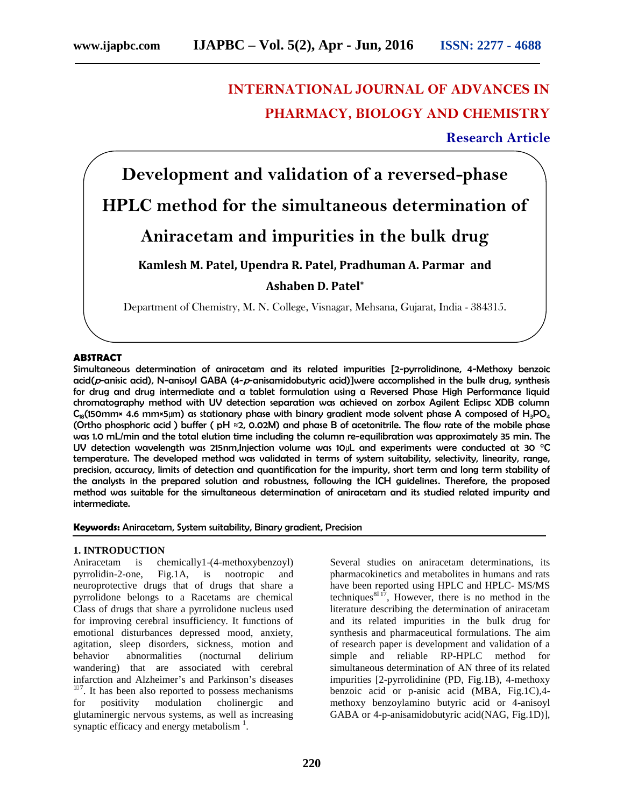# **INTERNATIONAL JOURNAL OF ADVANCES IN PHARMACY, BIOLOGY AND CHEMISTRY**

# **Research Article**

**Development and validation of a reversed-phase HPLC method for the simultaneous determination of Aniracetam and impurities in the bulk drug Kamlesh M. Patel, Upendra R. Patel, Pradhuman A. Parmar and Ashaben D. Patel\*** Department of Chemistry, M. N. College, Visnagar, Mehsana, Gujarat, India - 384315.

#### **ABSTRACT**

Simultaneous determination of aniracetam and its related impurities [2-pyrrolidinone, 4-Methoxy benzoic acid(*p*-anisic acid), N-anisoyl GABA (4-*p*-anisamidobutyric acid)]were accomplished in the bulk drug, synthesis for drug and drug intermediate and a tablet formulation using a Reversed Phase High Performance liquid chromatography method with UV detection separation was achieved on zorbox Agilent Eclipsc XDB column  $C_{18}$ (150mm× 4.6 mm×5µm) as stationary phase with binary gradient mode solvent phase A composed of H<sub>3</sub>PO<sub>4</sub> (Ortho phosphoric acid ) buffer ( pH ≈2, 0.02M) and phase B of acetonitrile. The flow rate of the mobile phase was 1.0 mL/min and the total elution time including the column re-equilibration was approximately 35 min. The UV detection wavelength was 215nm,Injection volume was 10µL and experiments were conducted at 30 °C temperature. The developed method was validated in terms of system suitability, selectivity, linearity, range, precision, accuracy, limits of detection and quantification for the impurity, short term and long term stability of the analysts in the prepared solution and robustness, following the ICH guidelines. Therefore, the proposed method was suitable for the simultaneous determination of aniracetam and its studied related impurity and intermediate.

#### **Keywords:** Aniracetam, System suitability, Binary gradient, Precision

#### **1. INTRODUCTION**

Aniracetam is chemically1-(4-methoxybenzoyl) pyrrolidin-2-one, Fig.1A, is nootropic and neuroprotective drugs that of drugs that share a pyrrolidone belongs to a Racetams are chemical Class of drugs that share a pyrrolidone nucleus used for improving cerebral insufficiency. It functions of emotional disturbances depressed mood, anxiety, agitation, sleep disorders, sickness, motion and behavior abnormalities (nocturnal delirium wandering) that are associated with cerebral infarction and Alzheimer's and Parkinson's diseases  $<sup>17</sup>$ . It has been also reported to possess mechanisms</sup> for positivity modulation cholinergic and glutaminergic nervous systems, as well as increasing synaptic efficacy and energy metabolism $<sup>1</sup>$ .</sup>

Several studies on aniracetam determinations, its pharmacokinetics and metabolites in humans and rats have been reported using HPLC and HPLC- MS/MS techniques  $17$ , However, there is no method in the literature describing the determination of aniracetam and its related impurities in the bulk drug for synthesis and pharmaceutical formulations. The aim of research paper is development and validation of a simple and reliable RP-HPLC method for simultaneous determination of AN three of its related impurities [2-pyrrolidinine (PD, Fig.1B), 4-methoxy benzoic acid or p-anisic acid (MBA, Fig.1C),4 methoxy benzoylamino butyric acid or 4-anisoyl GABA or 4-p-anisamidobutyric acid(NAG, Fig.1D)],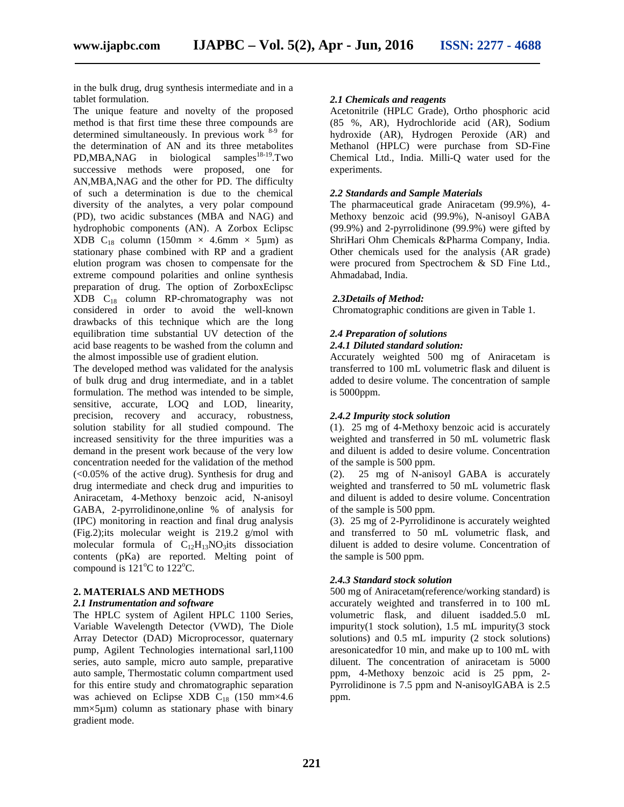in the bulk drug, drug synthesis intermediate and in a tablet formulation.

The unique feature and novelty of the proposed method is that first time these three compounds are determined simultaneously. In previous work  $8-9$  for the determination of AN and its three metabolites  $PD, MBA, NAG$  in biological samples  $18-19$ . Two successive methods were proposed, one for AN,MBA,NAG and the other for PD. The difficulty of such a determination is due to the chemical diversity of the analytes, a very polar compound (PD), two acidic substances (MBA and NAG) and hydrophobic components (AN). A Zorbox Eclipsc XDB C<sub>18</sub> column (150mm  $\times$  4.6mm  $\times$  5µm) as stationary phase combined with RP and a gradient elution program was chosen to compensate for the extreme compound polarities and online synthesis preparation of drug. The option of ZorboxEclipsc XDB C<sup>18</sup> column RP-chromatography was not considered in order to avoid the well-known drawbacks of this technique which are the long equilibration time substantial UV detection of the acid base reagents to be washed from the column and the almost impossible use of gradient elution.

The developed method was validated for the analysis of bulk drug and drug intermediate, and in a tablet formulation. The method was intended to be simple, sensitive, accurate, LOQ and LOD, linearity, precision, recovery and accuracy, robustness, solution stability for all studied compound. The increased sensitivity for the three impurities was a demand in the present work because of the very low concentration needed for the validation of the method  $\left($ <0.05% of the active drug). Synthesis for drug and  $\left($ 2). drug intermediate and check drug and impurities to Aniracetam, 4-Methoxy benzoic acid, N-anisoyl GABA, 2-pyrrolidinone,online % of analysis for (IPC) monitoring in reaction and final drug analysis (Fig.2);its molecular weight is 219.2 g/mol with molecular formula of  $C_{12}H_{13}NO_3$  its dissociation contents (pKa) are reported. Melting point of compound is  $121^{\circ}$ C to  $122^{\circ}$ C.

# **2. MATERIALS AND METHODS**

# *2.1 Instrumentation and software*

The HPLC system of Agilent HPLC 1100 Series, Variable Wavelength Detector (VWD), The Diole Array Detector (DAD) Microprocessor, quaternary pump, Agilent Technologies international sarl,1100 series, auto sample, micro auto sample, preparative auto sample, Thermostatic column compartment used for this entire study and chromatographic separation was achieved on Eclipse XDB  $C_{18}$  (150 mm×4.6) mm×5µm) column as stationary phase with binary gradient mode.

#### *2.1 Chemicals and reagents*

Acetonitrile (HPLC Grade), Ortho phosphoric acid (85 %, AR), Hydrochloride acid (AR), Sodium hydroxide (AR), Hydrogen Peroxide (AR) and Methanol (HPLC) were purchase from SD-Fine Chemical Ltd., India. Milli-Q water used for the experiments.

#### *2.2 Standards and Sample Materials*

The pharmaceutical grade Aniracetam (99.9%), 4- Methoxy benzoic acid (99.9%), N-anisoyl GABA (99.9%) and 2-pyrrolidinone (99.9%) were gifted by ShriHari Ohm Chemicals &Pharma Company, India. Other chemicals used for the analysis (AR grade) were procured from Spectrochem & SD Fine Ltd., Ahmadabad, India.

#### *2.3Details of Method:*

Chromatographic conditions are given in Table 1.

# *2.4 Preparation of solutions*

#### *2.4.1 Diluted standard solution:*

Accurately weighted 500 mg of Aniracetam is transferred to 100 mL volumetric flask and diluent is added to desire volume. The concentration of sample is 5000ppm.

#### *2.4.2 Impurity stock solution*

(1). 25 mg of 4-Methoxy benzoic acid is accurately weighted and transferred in 50 mL volumetric flask and diluent is added to desire volume. Concentration of the sample is 500 ppm.

25 mg of N-anisoyl GABA is accurately weighted and transferred to 50 mL volumetric flask and diluent is added to desire volume. Concentration of the sample is 500 ppm.

(3). 25 mg of 2-Pyrrolidinone is accurately weighted and transferred to 50 mL volumetric flask, and diluent is added to desire volume. Concentration of the sample is 500 ppm.

#### *2.4.3 Standard stock solution*

500 mg of Aniracetam(reference/working standard) is accurately weighted and transferred in to 100 mL volumetric flask, and diluent isadded.5.0 mL impurity(1 stock solution), 1.5 mL impurity(3 stock solutions) and 0.5 mL impurity (2 stock solutions) aresonicatedfor 10 min, and make up to 100 mL with diluent. The concentration of aniracetam is 5000 ppm, 4-Methoxy benzoic acid is 25 ppm, 2- Pyrrolidinone is 7.5 ppm and N-anisoylGABA is 2.5 ppm.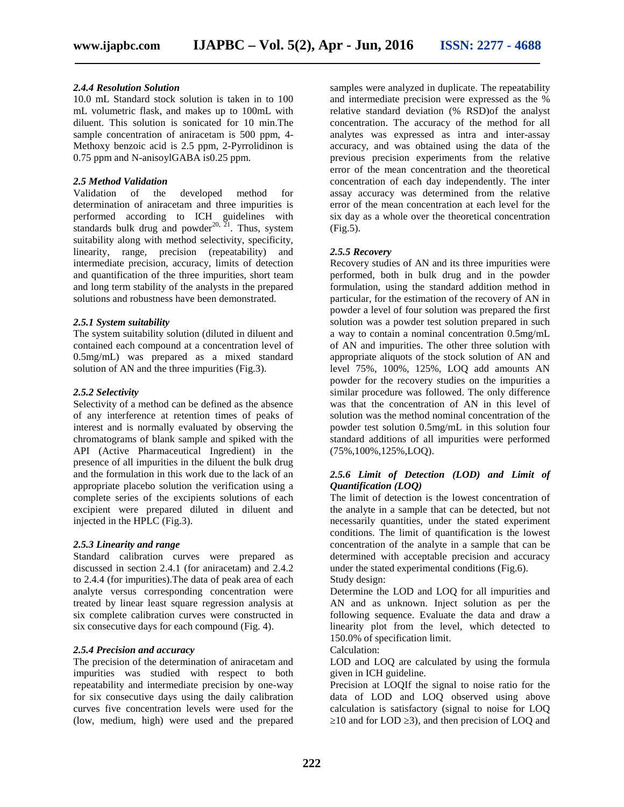#### *2.4.4 Resolution Solution*

10.0 mL Standard stock solution is taken in to 100 mL volumetric flask, and makes up to 100mL with diluent. This solution is sonicated for 10 min.The sample concentration of aniracetam is 500 ppm, 4- Methoxy benzoic acid is 2.5 ppm, 2-Pyrrolidinon is 0.75 ppm and N-anisoylGABA is0.25 ppm.

## *2.5 Method Validation*

Validation of the developed method for determination of aniracetam and three impurities is performed according to ICH guidelines with standards bulk drug and powder<sup>20,  $\overline{2}$ 1</sup>. Thus, system (Fig.: suitability along with method selectivity, specificity, linearity, range, precision (repeatability) and intermediate precision, accuracy, limits of detection and quantification of the three impurities, short team and long term stability of the analysts in the prepared solutions and robustness have been demonstrated.

## *2.5.1 System suitability*

The system suitability solution (diluted in diluent and contained each compound at a concentration level of 0.5mg/mL) was prepared as a mixed standard solution of AN and the three impurities (Fig.3).

## *2.5.2 Selectivity*

Selectivity of a method can be defined as the absence of any interference at retention times of peaks of interest and is normally evaluated by observing the chromatograms of blank sample and spiked with the API (Active Pharmaceutical Ingredient) in the presence of all impurities in the diluent the bulk drug and the formulation in this work due to the lack of an appropriate placebo solution the verification using a complete series of the excipients solutions of each excipient were prepared diluted in diluent and injected in the HPLC (Fig.3).

#### *2.5.3 Linearity and range*

Standard calibration curves were prepared as discussed in section 2.4.1 (for aniracetam) and 2.4.2 to 2.4.4 (for impurities).The data of peak area of each analyte versus corresponding concentration were treated by linear least square regression analysis at six complete calibration curves were constructed in six consecutive days for each compound (Fig. 4).

## *2.5.4 Precision and accuracy*

The precision of the determination of aniracetam and impurities was studied with respect to both repeatability and intermediate precision by one-way for six consecutive days using the daily calibration curves five concentration levels were used for the (low, medium, high) were used and the prepared

samples were analyzed in duplicate. The repeatability and intermediate precision were expressed as the % relative standard deviation (% RSD)of the analyst concentration. The accuracy of the method for all analytes was expressed as intra and inter-assay accuracy, and was obtained using the data of the previous precision experiments from the relative error of the mean concentration and the theoretical concentration of each day independently. The inter assay accuracy was determined from the relative error of the mean concentration at each level for the six day as a whole over the theoretical concentration (Fig.5).

# *2.5.5 Recovery*

Recovery studies of AN and its three impurities were performed, both in bulk drug and in the powder formulation, using the standard addition method in particular, for the estimation of the recovery of AN in powder a level of four solution was prepared the first solution was a powder test solution prepared in such a way to contain a nominal concentration 0.5mg/mL of AN and impurities. The other three solution with appropriate aliquots of the stock solution of AN and level 75%, 100%, 125%, LOQ add amounts AN powder for the recovery studies on the impurities a similar procedure was followed. The only difference was that the concentration of AN in this level of solution was the method nominal concentration of the powder test solution 0.5mg/mL in this solution four standard additions of all impurities were performed (75%,100%,125%,LOQ).

# *2.5.6 Limit of Detection (LOD) and Limit of Quantification (LOQ)*

The limit of detection is the lowest concentration of the analyte in a sample that can be detected, but not necessarily quantities, under the stated experiment conditions. The limit of quantification is the lowest concentration of the analyte in a sample that can be determined with acceptable precision and accuracy under the stated experimental conditions (Fig.6). Study design:

Determine the LOD and LOQ for all impurities and AN and as unknown. Inject solution as per the following sequence. Evaluate the data and draw a linearity plot from the level, which detected to 150.0% of specification limit.

Calculation:

LOD and LOQ are calculated by using the formula given in ICH guideline.

Precision at LOQIf the signal to noise ratio for the data of LOD and LOQ observed using above calculation is satisfactory (signal to noise for LOQ 10 and for LOD 3), and then precision of LOQ and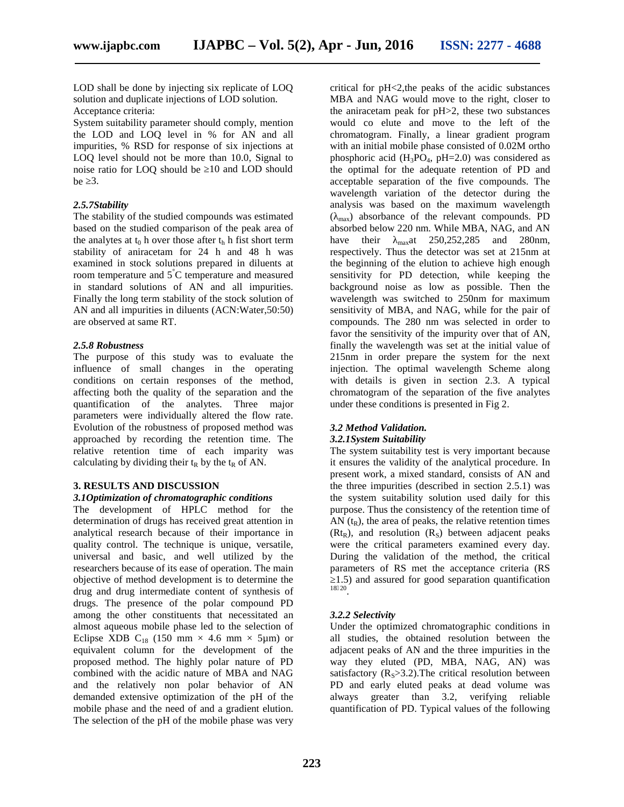LOD shall be done by injecting six replicate of LOQ solution and duplicate injections of LOD solution. Acceptance criteria:

System suitability parameter should comply, mention the LOD and LOQ level in % for AN and all impurities, % RSD for response of six injections at LOQ level should not be more than 10.0, Signal to noise ratio for LOO should be 10 and LOD should be 3.

#### *2.5.7Stability*

The stability of the studied compounds was estimated based on the studied comparison of the peak area of the analytes at  $t_0$  h over those after  $t_h$  h fist short term have their stability of aniracetam for 24 h and 48 h was examined in stock solutions prepared in diluents at room temperature and  $5^{\circ}$ C temperature and measured in standard solutions of AN and all impurities. Finally the long term stability of the stock solution of AN and all impurities in diluents (ACN:Water,50:50) are observed at same RT.

#### *2.5.8 Robustness*

The purpose of this study was to evaluate the influence of small changes in the operating conditions on certain responses of the method, affecting both the quality of the separation and the quantification of the analytes. Three major parameters were individually altered the flow rate. Evolution of the robustness of proposed method was approached by recording the retention time. The relative retention time of each imparity was calculating by dividing their  $t_R$  by the  $t_R$  of AN.

# **3. RESULTS AND DISCUSSION**

#### *3.1Optimization of chromatographic conditions*

The development of HPLC method for the determination of drugs has received great attention in analytical research because of their importance in quality control. The technique is unique, versatile, universal and basic, and well utilized by the researchers because of its ease of operation. The main objective of method development is to determine the drug and drug intermediate content of synthesis of drugs. The presence of the polar compound PD among the other constituents that necessitated an almost aqueous mobile phase led to the selection of Eclipse XDB C<sub>18</sub> (150 mm  $\times$  4.6 mm  $\times$  5µm) or equivalent column for the development of the proposed method. The highly polar nature of PD combined with the acidic nature of MBA and NAG and the relatively non polar behavior of AN demanded extensive optimization of the pH of the mobile phase and the need of and a gradient elution. The selection of the pH of the mobile phase was very

critical for pH<2,the peaks of the acidic substances MBA and NAG would move to the right, closer to the aniracetam peak for pH>2, these two substances would co elute and move to the left of the chromatogram. Finally, a linear gradient program with an initial mobile phase consisted of 0.02M ortho phosphoric acid  $(H_3PO_4, pH=2.0)$  was considered as the optimal for the adequate retention of PD and acceptable separation of the five compounds. The wavelength variation of the detector during the analysis was based on the maximum wavelength ( max) absorbance of the relevant compounds. PD absorbed below 220 nm. While MBA, NAG, and AN  $_{max}$ at 250,252,285 and 280nm. respectively. Thus the detector was set at 215nm at the beginning of the elution to achieve high enough sensitivity for PD detection, while keeping the background noise as low as possible. Then the wavelength was switched to 250nm for maximum sensitivity of MBA, and NAG, while for the pair of compounds. The 280 nm was selected in order to favor the sensitivity of the impurity over that of AN, finally the wavelength was set at the initial value of 215nm in order prepare the system for the next injection. The optimal wavelength Scheme along with details is given in section 2.3. A typical chromatogram of the separation of the five analytes under these conditions is presented in Fig 2.

# *3.2 Method Validation.*

#### *3.2.1System Suitability*

The system suitability test is very important because it ensures the validity of the analytical procedure. In present work, a mixed standard, consists of AN and the three impurities (described in section 2.5.1) was the system suitability solution used daily for this purpose. Thus the consistency of the retention time of AN  $(t_R)$ , the area of peaks, the relative retention times  $(Rt_R)$ , and resolution  $(R_S)$  between adjacent peaks were the critical parameters examined every day. During the validation of the method, the critical parameters of RS met the acceptance criteria (RS ≥1.5) and assured for good separation quantification 18 20 .

# *3.2.2 Selectivity*

Under the optimized chromatographic conditions in all studies, the obtained resolution between the adjacent peaks of AN and the three impurities in the way they eluted (PD, MBA, NAG, AN) was satisfactory  $(R_s > 3.2)$ . The critical resolution between PD and early eluted peaks at dead volume was always greater than 3.2, verifying reliable quantification of PD. Typical values of the following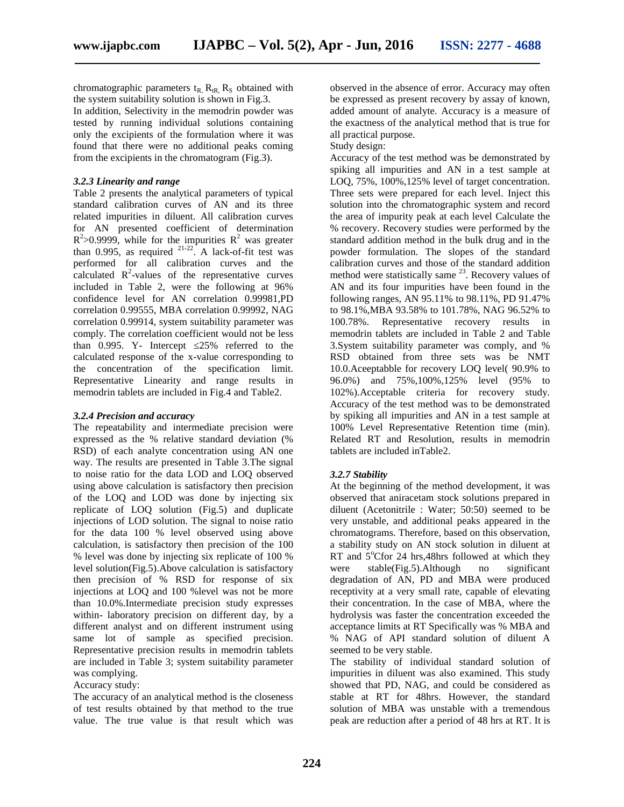chromatographic parameters  $t_R$ ,  $R_{tR}$ ,  $R_S$  obtained with the system suitability solution is shown in Fig.3.

In addition, Selectivity in the memodrin powder was tested by running individual solutions containing only the excipients of the formulation where it was found that there were no additional peaks coming from the excipients in the chromatogram (Fig.3).

## *3.2.3 Linearity and range*

Table 2 presents the analytical parameters of typical standard calibration curves of AN and its three related impurities in diluent. All calibration curves for AN presented coefficient of determination  $R^2$ >0.9999, while for the impurities  $R^2$  was greater than 0.995, as required  $2^{1-22}$ . A lack-of-fit test was performed for all calibration curves and the calculated  $R^2$ -values of the representative curves included in Table 2, were the following at 96% confidence level for AN correlation 0.99981,PD correlation 0.99555, MBA correlation 0.99992, NAG correlation 0.99914, system suitability parameter was comply. The correlation coefficient would not be less than  $0.995$ . Y- Intercept  $25%$  referred to the calculated response of the x-value corresponding to the concentration of the specification limit. Representative Linearity and range results in memodrin tablets are included in Fig.4 and Table2.

#### *3.2.4 Precision and accuracy*

The repeatability and intermediate precision were expressed as the % relative standard deviation (% RSD) of each analyte concentration using AN one way. The results are presented in Table 3.The signal to noise ratio for the data LOD and LOQ observed using above calculation is satisfactory then precision of the LOQ and LOD was done by injecting six replicate of LOQ solution (Fig.5) and duplicate injections of LOD solution. The signal to noise ratio for the data 100 % level observed using above calculation, is satisfactory then precision of the 100 % level was done by injecting six replicate of 100 % level solution(Fig.5).Above calculation is satisfactory then precision of % RSD for response of six injections at LOQ and 100 %level was not be more than 10.0%.Intermediate precision study expresses within- laboratory precision on different day, by a different analyst and on different instrument using same lot of sample as specified precision. Representative precision results in memodrin tablets are included in Table 3; system suitability parameter was complying.

# Accuracy study:

The accuracy of an analytical method is the closeness of test results obtained by that method to the true value. The true value is that result which was observed in the absence of error. Accuracy may often be expressed as present recovery by assay of known, added amount of analyte. Accuracy is a measure of the exactness of the analytical method that is true for all practical purpose.

# Study design:

Accuracy of the test method was be demonstrated by spiking all impurities and AN in a test sample at LOQ, 75%, 100%,125% level of target concentration. Three sets were prepared for each level. Inject this solution into the chromatographic system and record the area of impurity peak at each level Calculate the % recovery. Recovery studies were performed by the standard addition method in the bulk drug and in the powder formulation. The slopes of the standard calibration curves and those of the standard addition method were statistically same  $^{23}$ . Recovery values of AN and its four impurities have been found in the following ranges, AN 95.11% to 98.11%, PD 91.47% to 98.1%,MBA 93.58% to 101.78%, NAG 96.52% to 100.78%. Representative recovery results in memodrin tablets are included in Table 2 and Table 3.System suitability parameter was comply, and % RSD obtained from three sets was be NMT 10.0.Aceeptabble for recovery LOQ level( 90.9% to 96.0%) and 75%,100%,125% level (95% to 102%).Acceptable criteria for recovery study. Accuracy of the test method was to be demonstrated by spiking all impurities and AN in a test sample at 100% Level Representative Retention time (min). Related RT and Resolution, results in memodrin tablets are included inTable2.

# *3.2.7 Stability*

At the beginning of the method development, it was observed that aniracetam stock solutions prepared in diluent (Acetonitrile : Water; 50:50) seemed to be very unstable, and additional peaks appeared in the chromatograms. Therefore, based on this observation, a stability study on AN stock solution in diluent at RT and  $5^{\circ}$ Cfor 24 hrs, 48hrs followed at which they  $stable(Fig.5)$ .Although no significant degradation of AN, PD and MBA were produced receptivity at a very small rate, capable of elevating their concentration. In the case of MBA, where the hydrolysis was faster the concentration exceeded the acceptance limits at RT Specifically was % MBA and % NAG of API standard solution of diluent A seemed to be very stable.

The stability of individual standard solution of impurities in diluent was also examined. This study showed that PD, NAG, and could be considered as stable at RT for 48hrs. However, the standard solution of MBA was unstable with a tremendous peak are reduction after a period of 48 hrs at RT. It is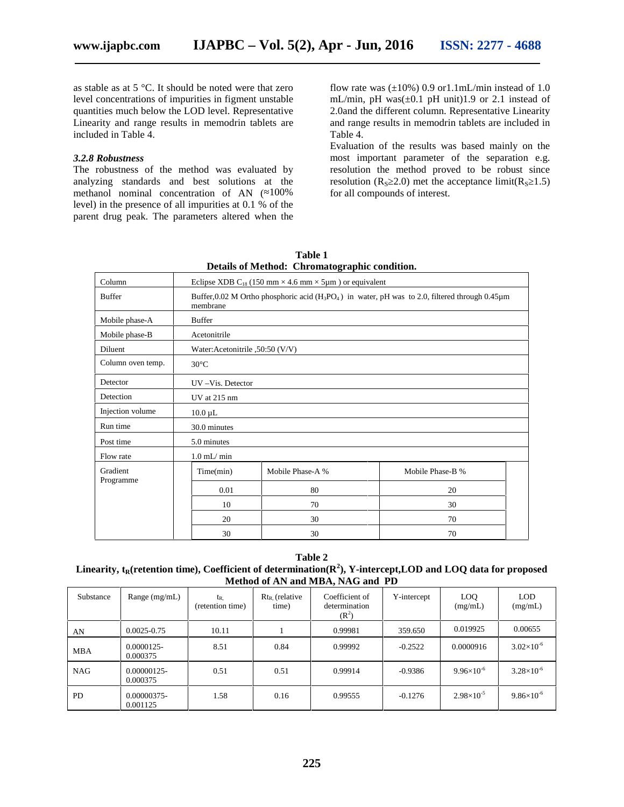as stable as at 5 °C. It should be noted were that zero level concentrations of impurities in figment unstable quantities much below the LOD level. Representative Linearity and range results in memodrin tablets are included in Table 4.

#### *3.2.8 Robustness*

The robustness of the method was evaluated by analyzing standards and best solutions at the methanol nominal concentration of AN ( $100\%$ level) in the presence of all impurities at 0.1 % of the parent drug peak. The parameters altered when the

flow rate was  $(\pm 10\%)$  0.9 or1.1mL/min instead of 1.0 mL/min, pH was( $\pm$ 0.1 pH unit)1.9 or 2.1 instead of 2.0and the different column. Representative Linearity and range results in memodrin tablets are included in Table 4.

Evaluation of the results was based mainly on the most important parameter of the separation e.g. resolution the method proved to be robust since resolution ( $R<sub>S</sub>$  2.0) met the acceptance limit( $R<sub>S</sub>$  1.5) for all compounds of interest.

| Column                | Eclipse XDB C <sub>18</sub> (150 mm $\times$ 4.6 mm $\times$ 5µm) or equivalent                                       |                  |                  |  |  |  |
|-----------------------|-----------------------------------------------------------------------------------------------------------------------|------------------|------------------|--|--|--|
| <b>Buffer</b>         | Buffer, 0.02 M Ortho phosphoric acid ( $H_3PO_4$ ) in water, pH was to 2.0, filtered through 0.45 $\mu$ m<br>membrane |                  |                  |  |  |  |
| Mobile phase-A        | <b>Buffer</b>                                                                                                         |                  |                  |  |  |  |
| Mobile phase-B        | Acetonitrile                                                                                                          |                  |                  |  |  |  |
| Diluent               | Water: Acetonitrile , 50:50 (V/V)                                                                                     |                  |                  |  |  |  |
| Column oven temp.     | $30^{\circ}$ C                                                                                                        |                  |                  |  |  |  |
| Detector              | UV-Vis. Detector                                                                                                      |                  |                  |  |  |  |
| Detection             | UV at 215 nm                                                                                                          |                  |                  |  |  |  |
| Injection volume      | $10.0 \mu L$                                                                                                          |                  |                  |  |  |  |
| Run time              | 30.0 minutes                                                                                                          |                  |                  |  |  |  |
| Post time             | 5.0 minutes                                                                                                           |                  |                  |  |  |  |
| Flow rate             | $1.0$ mL/ min                                                                                                         |                  |                  |  |  |  |
| Gradient<br>Programme | Time(min)                                                                                                             | Mobile Phase-A % | Mobile Phase-B % |  |  |  |
|                       | 0.01                                                                                                                  | 80               | 20               |  |  |  |
|                       | 10                                                                                                                    | 70               | 30               |  |  |  |
|                       | 20                                                                                                                    | 30               | 70               |  |  |  |
|                       | 30                                                                                                                    | 30               | 70               |  |  |  |

**Table 1 Details of Method: Chromatographic condition.**

**Table 2 Linearity,**  $t_R$ **(retention time), Coefficient of determination(** $\mathbb{R}^2$ **), Y-intercept,LOD and LOQ data for proposed Method of AN and MBA, NAG and PD**

| Substance  | Range $(mg/mL)$           | t <sub>R</sub><br>(retention time) | $Rt_R$ (relative<br>time) | Coefficient of<br>determination<br>$(R^2)$ | Y-intercept | LOQ.<br>(mg/mL)     | <b>LOD</b><br>(mg/mL) |
|------------|---------------------------|------------------------------------|---------------------------|--------------------------------------------|-------------|---------------------|-----------------------|
| AN         | $0.0025 - 0.75$           | 10.11                              |                           | 0.99981                                    | 359.650     | 0.019925            | 0.00655               |
| <b>MBA</b> | $0.0000125 -$<br>0.000375 | 8.51                               | 0.84                      | 0.99992                                    | $-0.2522$   | 0.0000916           | $3.02\times10^{-6}$   |
| <b>NAG</b> | 0.00000125-<br>0.000375   | 0.51                               | 0.51                      | 0.99914                                    | $-0.9386$   | $9.96\times10^{-6}$ | $3.28 \times 10^{-6}$ |
| <b>PD</b>  | 0.00000375-<br>0.001125   | 1.58                               | 0.16                      | 0.99555                                    | $-0.1276$   | $2.98\times10^{-5}$ | $9.86\times10^{-6}$   |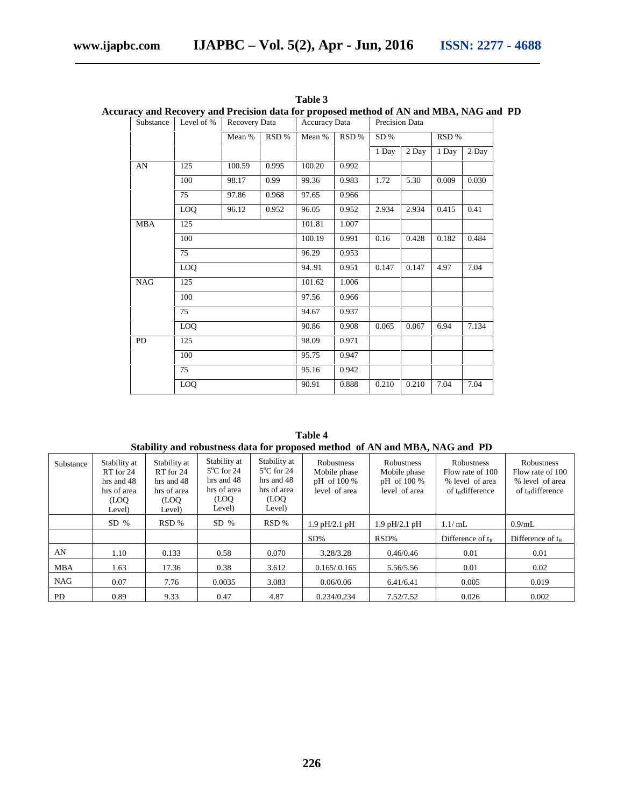|            |            |                      |        |                      |       |                | liacy and Recovery and Frecision data for proposed method of AIN and MDA, INAG and FT |       |       |
|------------|------------|----------------------|--------|----------------------|-------|----------------|---------------------------------------------------------------------------------------|-------|-------|
| Substance  | Level of % | <b>Recovery Data</b> |        | <b>Accuracy Data</b> |       | Precision Data |                                                                                       |       |       |
|            |            | Mean %               | RSD %  | Mean %               | RSD%  | SD%            |                                                                                       | RSD % |       |
|            |            |                      |        |                      |       | 1 Day          | 2 Day                                                                                 | 1 Day | 2 Day |
| AN         | 125        | 100.59               | 0.995  | 100.20               | 0.992 |                |                                                                                       |       |       |
|            | 100        | 98.17                | 0.99   | 99.36                | 0.983 | 1.72           | 5.30                                                                                  | 0.009 | 0.030 |
|            | 75         | 97.86                | 0.968  | 97.65                | 0.966 |                |                                                                                       |       |       |
|            | LOQ        | 96.12                | 0.952  | 96.05                | 0.952 | 2.934          | 2.934                                                                                 | 0.415 | 0.41  |
| <b>MBA</b> | 125        |                      |        | 101.81               | 1.007 |                |                                                                                       |       |       |
|            | 100        |                      |        | 100.19               | 0.991 | 0.16           | 0.428                                                                                 | 0.182 | 0.484 |
|            | 75         |                      | 96.29  | 0.953                |       |                |                                                                                       |       |       |
|            | LOQ        |                      | 94.91  | 0.951                | 0.147 | 0.147          | 4.97                                                                                  | 7.04  |       |
| <b>NAG</b> | 125        |                      | 101.62 | 1.006                |       |                |                                                                                       |       |       |
|            | 100        |                      |        | 97.56                | 0.966 |                |                                                                                       |       |       |
|            | 75         |                      | 94.67  | 0.937                |       |                |                                                                                       |       |       |
|            | LOQ        |                      | 90.86  | 0.908                | 0.065 | 0.067          | 6.94                                                                                  | 7.134 |       |
| <b>PD</b>  | 125        |                      |        | 98.09                | 0.971 |                |                                                                                       |       |       |
|            | 100        |                      | 95.75  | 0.947                |       |                |                                                                                       |       |       |
|            | 75         |                      | 95.16  | 0.942                |       |                |                                                                                       |       |       |
|            | <b>LOQ</b> |                      |        | 90.91                | 0.888 | 0.210          | 0.210                                                                                 | 7.04  | 7.04  |

**Table 3 Accuracy and Recovery and Precision data for proposed method of AN and MBA, NAG and PD**

| Table 4                                                                     |  |
|-----------------------------------------------------------------------------|--|
| Stability and robustness data for proposed method of AN and MBA, NAG and PD |  |

| Substance  | Stability at<br>RT for 24<br>hrs and 48<br>hrs of area<br>(LOO<br>Level) | Stability at<br>RT for 24<br>hrs and 48<br>hrs of area<br>(LOO<br>Level) | Stability at<br>$5^{\circ}$ C for 24<br>hrs and 48<br>hrs of area<br>(LOQ)<br>Level) | Stability at<br>$5^{\circ}$ C for 24<br>hrs and 48<br>hrs of area<br>(LOQ)<br>Level) | Robustness<br>Mobile phase<br>pH of 100 %<br>level of area | Robustness<br>Mobile phase<br>pH of 100 %<br>level of area | Robustness<br>Flow rate of 100<br>% level of area<br>of t <sub>R</sub> difference | Robustness<br>Flow rate of 100<br>% level of area<br>of t <sub>R</sub> difference |
|------------|--------------------------------------------------------------------------|--------------------------------------------------------------------------|--------------------------------------------------------------------------------------|--------------------------------------------------------------------------------------|------------------------------------------------------------|------------------------------------------------------------|-----------------------------------------------------------------------------------|-----------------------------------------------------------------------------------|
|            | $SD\%$                                                                   | RSD %                                                                    | $SD \%$                                                                              | RSD %                                                                                | $1.9$ pH/2.1 pH                                            | $1.9$ pH/2.1 pH                                            | 1.1/mL                                                                            | $0.9$ /mL                                                                         |
|            |                                                                          |                                                                          |                                                                                      |                                                                                      | $SD\%$                                                     | RSD%                                                       | Difference of $t_R$                                                               | Difference of $t_R$                                                               |
| AN         | 1.10                                                                     | 0.133                                                                    | 0.58                                                                                 | 0.070                                                                                | 3.28/3.28                                                  | 0.46/0.46                                                  | 0.01                                                                              | 0.01                                                                              |
| <b>MBA</b> | 1.63                                                                     | 17.36                                                                    | 0.38                                                                                 | 3.612                                                                                | 0.165/0.165                                                | 5.56/5.56                                                  | 0.01                                                                              | 0.02                                                                              |
| <b>NAG</b> | 0.07                                                                     | 7.76                                                                     | 0.0035                                                                               | 3.083                                                                                | 0.06/0.06                                                  | 6.41/6.41                                                  | 0.005                                                                             | 0.019                                                                             |
| <b>PD</b>  | 0.89                                                                     | 9.33                                                                     | 0.47                                                                                 | 4.87                                                                                 | 0.234/0.234                                                | 7.52/7.52                                                  | 0.026                                                                             | 0.002                                                                             |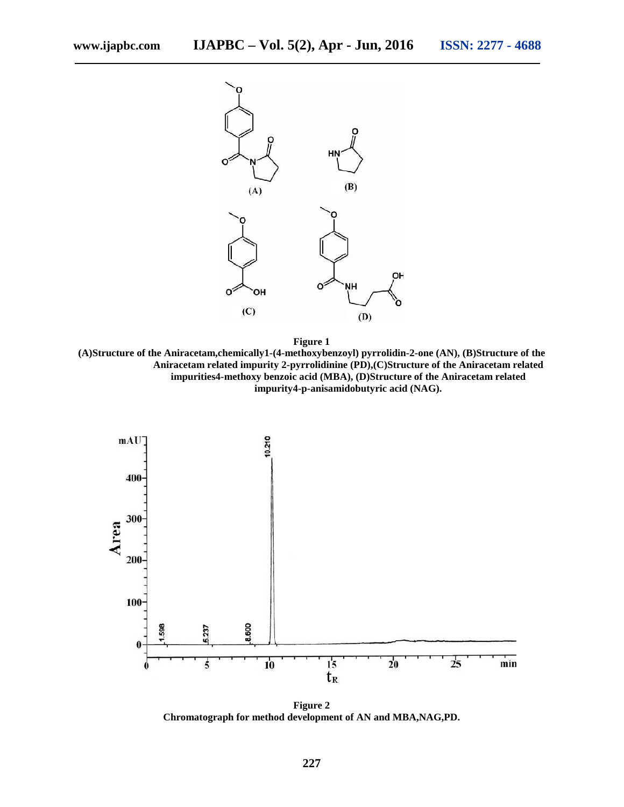

**Figure 1**

**(A)Structure of the Aniracetam,chemically1-(4-methoxybenzoyl) pyrrolidin-2-one (AN), (B)Structure of the Aniracetam related impurity 2-pyrrolidinine (PD),(C)Structure of the Aniracetam related impurities4-methoxy benzoic acid (MBA), (D)Structure of the Aniracetam related impurity4-p-anisamidobutyric acid (NAG).**



**Figure 2 Chromatograph for method development of AN and MBA,NAG,PD.**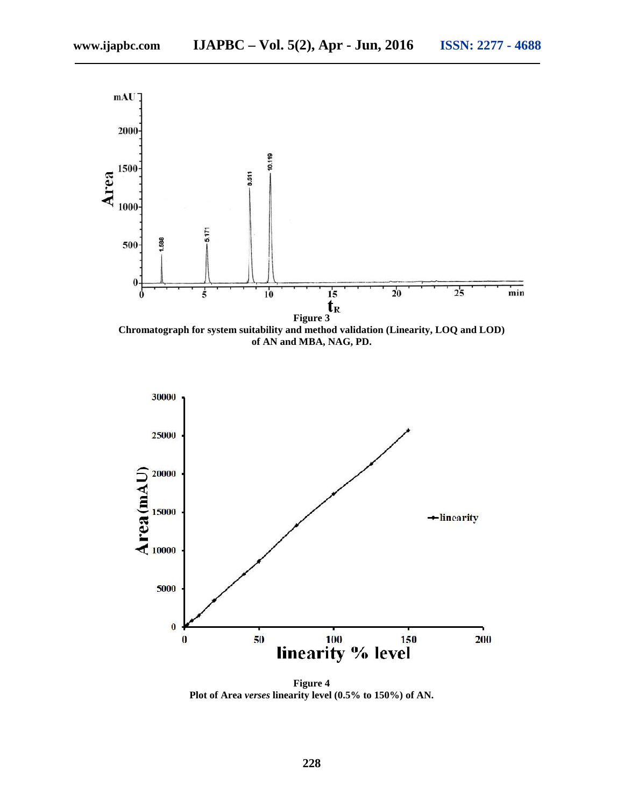

**of AN and MBA, NAG, PD.**



**Figure 4 Plot of Area** *verses* **linearity level (0.5% to 150%) of AN.**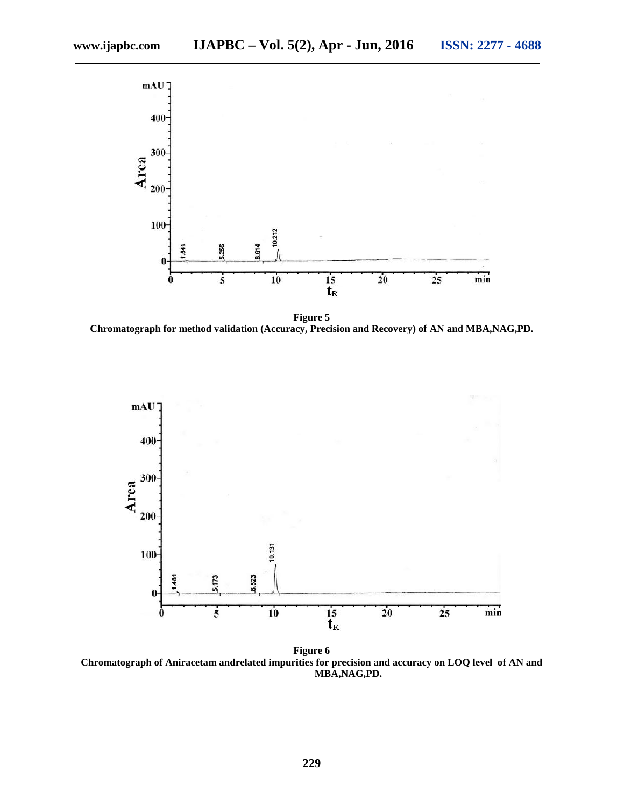

**Figure 5 Chromatograph for method validation (Accuracy, Precision and Recovery) of AN and MBA,NAG,PD.**



**Figure 6 Chromatograph of Aniracetam andrelated impurities for precision and accuracy on LOQ level of AN and MBA,NAG,PD.**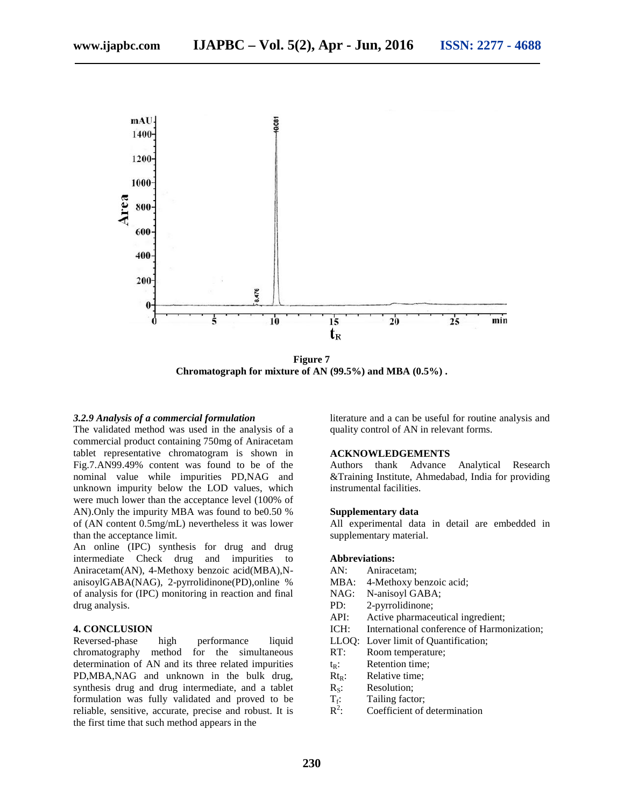

**Figure 7 Chromatograph for mixture of AN (99.5%) and MBA (0.5%) .**

#### *3.2.9 Analysis of a commercial formulation*

The validated method was used in the analysis of a commercial product containing 750mg of Aniracetam tablet representative chromatogram is shown in Fig.7.AN99.49% content was found to be of the nominal value while impurities PD,NAG and unknown impurity below the LOD values, which were much lower than the acceptance level (100% of AN).Only the impurity MBA was found to be0.50 % of (AN content 0.5mg/mL) nevertheless it was lower than the acceptance limit.

An online (IPC) synthesis for drug and drug intermediate Check drug and impurities to Aniracetam(AN), 4-Methoxy benzoic acid(MBA),N anisoylGABA(NAG), 2-pyrrolidinone(PD),online % of analysis for (IPC) monitoring in reaction and final drug analysis.

#### **4. CONCLUSION**

Reversed-phase high performance liquid chromatography method for the simultaneous determination of AN and its three related impurities PD,MBA,NAG and unknown in the bulk drug, synthesis drug and drug intermediate, and a tablet formulation was fully validated and proved to be reliable, sensitive, accurate, precise and robust. It is the first time that such method appears in the

literature and a can be useful for routine analysis and quality control of AN in relevant forms.

#### **ACKNOWLEDGEMENTS**

Authors thank Advance Analytical Research &Training Institute, Ahmedabad, India for providing instrumental facilities.

#### **Supplementary data**

All experimental data in detail are embedded in supplementary material.

#### **Abbreviations:**

- AN: Aniracetam;
- 4-Methoxy benzoic acid;
- NAG: N-anisoyl GABA;
- PD: 2-pyrrolidinone;
- API: Active pharmaceutical ingredient;
- ICH: International conference of Harmonization;
- LLOQ: Lover limit of Quantification;
- RT: Room temperature;
- 
- $t_R$ : Retention time;<br>Rt<sub>R</sub>: Relative time; Relative time:
- 
- $R_s$ : Resolution;<br> $T_f$ : Tailing factor Tailing factor;
- $R^2$ : Coefficient of determination  $\mathbb{R}^2$ :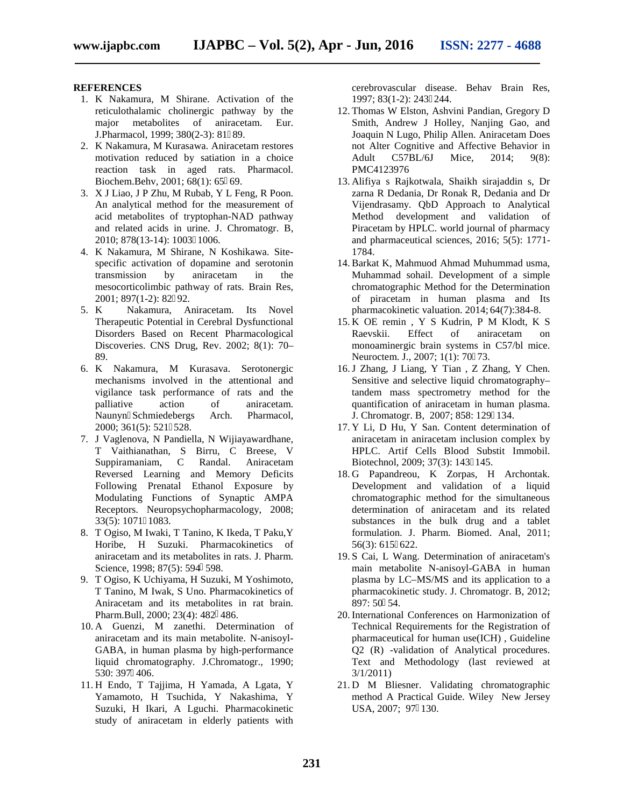#### **REFERENCES**

- 1. K Nakamura, M Shirane. Activation of the reticulothalamic cholinergic pathway by the major metabolites of aniracetam. Eur. J.Pharmacol, 1999; 380(2-3): 81 89.
- 2. K Nakamura, M Kurasawa. Aniracetam restores motivation reduced by satiation in a choice reaction task in aged rats. Pharmacol. Biochem.Behv, 2001; 68(1): 65 69.
- 3. X J Liao, J P Zhu, M Rubab, Y L Feng, R Poon. An analytical method for the measurement of acid metabolites of tryptophan-NAD pathway and related acids in urine. J. Chromatogr. B, 2010; 878(13-14): 1003 1006.
- 4. K Nakamura, M Shirane, N Koshikawa. Site specific activation of dopamine and serotonin transmission by aniracetam in the mesocorticolimbic pathway of rats. Brain Res, 2001; 897(1-2): 82 92.
- 5. K Nakamura, Aniracetam. Its Novel Therapeutic Potential in Cerebral Dysfunctional Disorders Based on Recent Pharmacological Discoveries. CNS Drug, Rev. 2002; 8(1): 70– 89.
- 6. K Nakamura, M Kurasava. Serotonergic mechanisms involved in the attentional and vigilance task performance of rats and the palliative action of aniracetam. Naunyn Schmiedebergs Arch. Pharmacol, 2000; 361(5): 521 528.
- 7. J Vaglenova, N Pandiella, N Wijiayawardhane, T Vaithianathan, S Birru, C Breese, V Suppiramaniam, C Randal. Aniracetam Reversed Learning and Memory Deficits Following Prenatal Ethanol Exposure by Modulating Functions of Synaptic AMPA Receptors. Neuropsychopharmacology, 2008; 33(5): 1071 1083.
- 8. T Ogiso, M Iwaki, T Tanino, K Ikeda, T Paku,Y Horibe, H Suzuki. Pharmacokinetics of aniracetam and its metabolites in rats. J. Pharm. Science, 1998; 87(5): 594 598.
- 9. T Ogiso, K Uchiyama, H Suzuki, M Yoshimoto, T Tanino, M Iwak, S Uno. Pharmacokinetics of Aniracetam and its metabolites in rat brain. Pharm.Bull, 2000; 23(4): 482 486.
- 10. A Guenzi, M zanethi. Determination of aniracetam and its main metabolite. N-anisoyl- GABA, in human plasma by high-performance liquid chromatography. J.Chromatogr., 1990; 530: 397 406.
- 11. H Endo, T Tajjima, H Yamada, A Lgata, Y Yamamoto, H Tsuchida, Y Nakashima, Y Suzuki, H Ikari, A Lguchi. Pharmacokinetic study of aniracetam in elderly patients with

cerebrovascular disease. Behav Brain Res, 1997; 83(1-2): 243 244.

- 12. Thomas W Elston, Ashvini Pandian, Gregory D Smith, Andrew J Holley, Nanjing Gao, and Joaquin N Lugo, Philip Allen. Aniracetam Does not Alter Cognitive and Affective Behavior in Adult C57BL/6J Mice, 2014; 9(8): PMC4123976
- 13. Alifiya s Rajkotwala, Shaikh sirajaddin s, Dr zarna R Dedania, Dr Ronak R, Dedania and Dr Vijendrasamy. QbD Approach to Analytical Method development and validation of Piracetam by HPLC. world journal of pharmacy and pharmaceutical sciences, 2016; 5(5): 1771- 1784.
- 14. Barkat K, Mahmuod Ahmad Muhummad usma, Muhammad sohail. Development of a simple chromatographic Method for the Determination of piracetam in human plasma and Its pharmacokinetic valuation. 2014; 64(7):384-8.
- 15. K OE remin , Y S Kudrin, P M Klodt, K S Raevskii. Effect of aniracetam on monoaminergic brain systems in C57/bl mice. Neuroctem. J., 2007; 1(1): 70 73.
- 16.J Zhang, J Liang, Y Tian , Z Zhang, Y Chen. Sensitive and selective liquid chromatography– tandem mass spectrometry method for the quantification of aniracetam in human plasma. J. Chromatogr. B, 2007; 858: 129 134.
- 17. Y Li, D Hu, Y San. Content determination of aniracetam in aniracetam inclusion complex by HPLC. Artif Cells Blood Substit Immobil. Biotechnol, 2009; 37(3): 143 145.
- 18. G Papandreou, K Zorpas, H Archontak. Development and validation of a liquid chromatographic method for the simultaneous determination of aniracetam and its related substances in the bulk drug and a tablet formulation. J. Pharm. Biomed. Anal, 2011; 56(3): 615 622.
- 19. S Cai, L Wang. Determination of aniracetam's main metabolite N-anisoyl-GABA in human plasma by LC–MS/MS and its application to a pharmacokinetic study. J. Chromatogr. B, 2012; 897: 50 54.
- 20. International Conferences on Harmonization of Technical Requirements for the Registration of pharmaceutical for human use(ICH) , Guideline Q2 (R) -validation of Analytical procedures. Text and Methodology (last reviewed at 3/1/2011)
- 21. D M Bliesner. Validating chromatographic method A Practical Guide. Wiley New Jersey USA, 2007; 97 130.